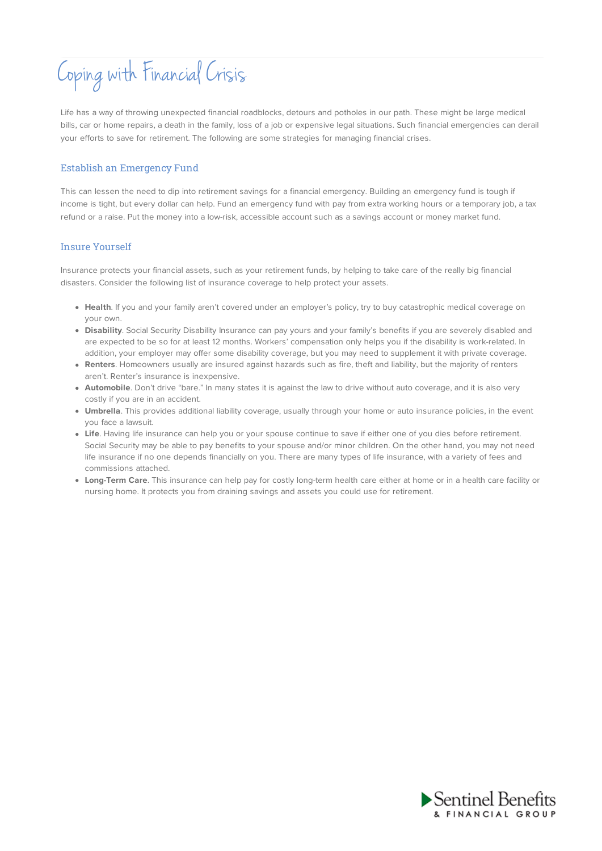# Coping with Financial Crisis

Life has a way of throwing unexpected financial roadblocks, detours and potholes in our path. These might be large medical bills, car or home repairs, a death in the family, loss of a job or expensive legal situations. Such financial emergencies can derail your efforts to save for retirement. The following are some strategies for managing financial crises.

### Establish an Emergency Fund

This can lessen the need to dip into retirement savings for a financial emergency. Building an emergency fund is tough if income is tight, but every dollar can help. Fund an emergency fund with pay from extra working hours or a temporary job, a tax refund or a raise. Put the money into a low-risk, accessible account such as a savings account or money market fund.

#### Insure Yourself

Insurance protects your financial assets, such as your retirement funds, by helping to take care of the really big financial disasters. Consider the following list of insurance coverage to help protect your assets.

- **Health**. If you and your family aren't covered under an employer's policy, try to buy catastrophic medical coverage on your own.
- **Disability**. Social Security Disability Insurance can pay yours and your family's benefits if you are severely disabled and are expected to be so for at least 12 months. Workers' compensation only helps you if the disability is work-related. In addition, your employer may offer some disability coverage, but you may need to supplement it with private coverage.
- **Renters**. Homeowners usually are insured against hazards such as fire, theft and liability, but the majority of renters aren't. Renter's insurance is inexpensive.
- **Automobile**. Don't drive "bare." In many states it is against the law to drive without auto coverage, and it is also very costly if you are in an accident.
- **Umbrella**. This provides additional liability coverage, usually through your home or auto insurance policies, in the event you face a lawsuit.
- **Life**. Having life insurance can help you or your spouse continue to save if either one of you dies before retirement. Social Security may be able to pay benefits to your spouse and/or minor children. On the other hand, you may not need life insurance if no one depends financially on you. There are many types of life insurance, with a variety of fees and commissions attached.
- **Long-Term Care**. This insurance can help pay for costly long-term health care either at home or in a health care facility or nursing home. It protects you from draining savings and assets you could use for retirement.